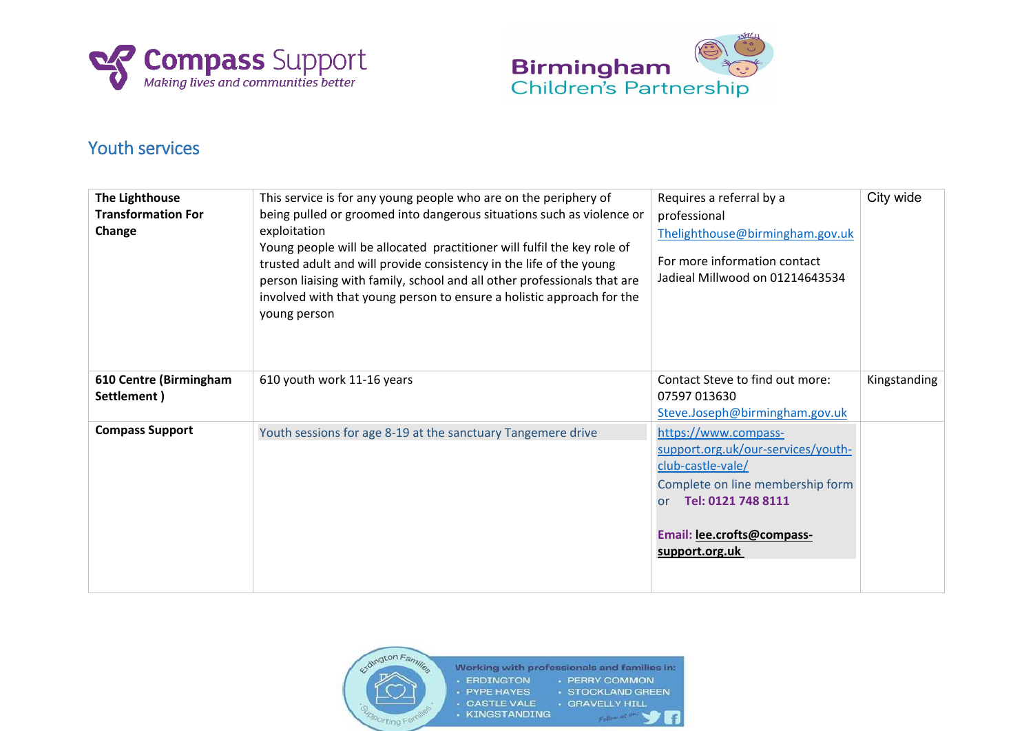



## Youth services

| The Lighthouse<br><b>Transformation For</b><br>Change | This service is for any young people who are on the periphery of<br>being pulled or groomed into dangerous situations such as violence or<br>exploitation<br>Young people will be allocated practitioner will fulfil the key role of<br>trusted adult and will provide consistency in the life of the young<br>person liaising with family, school and all other professionals that are<br>involved with that young person to ensure a holistic approach for the<br>young person | Requires a referral by a<br>professional<br>Thelighthouse@birmingham.gov.uk<br>For more information contact<br>Jadieal Millwood on 01214643534                                                         | City wide    |
|-------------------------------------------------------|----------------------------------------------------------------------------------------------------------------------------------------------------------------------------------------------------------------------------------------------------------------------------------------------------------------------------------------------------------------------------------------------------------------------------------------------------------------------------------|--------------------------------------------------------------------------------------------------------------------------------------------------------------------------------------------------------|--------------|
| 610 Centre (Birmingham<br>Settlement)                 | 610 youth work 11-16 years                                                                                                                                                                                                                                                                                                                                                                                                                                                       | Contact Steve to find out more:<br>07597 013630<br>Steve.Joseph@birmingham.gov.uk                                                                                                                      | Kingstanding |
| <b>Compass Support</b>                                | Youth sessions for age 8-19 at the sanctuary Tangemere drive                                                                                                                                                                                                                                                                                                                                                                                                                     | https://www.compass-<br>support.org.uk/our-services/youth-<br>club-castle-vale/<br>Complete on line membership form<br>Tel: 0121 748 8111<br><b>or</b><br>Email: lee.crofts@compass-<br>support.org.uk |              |